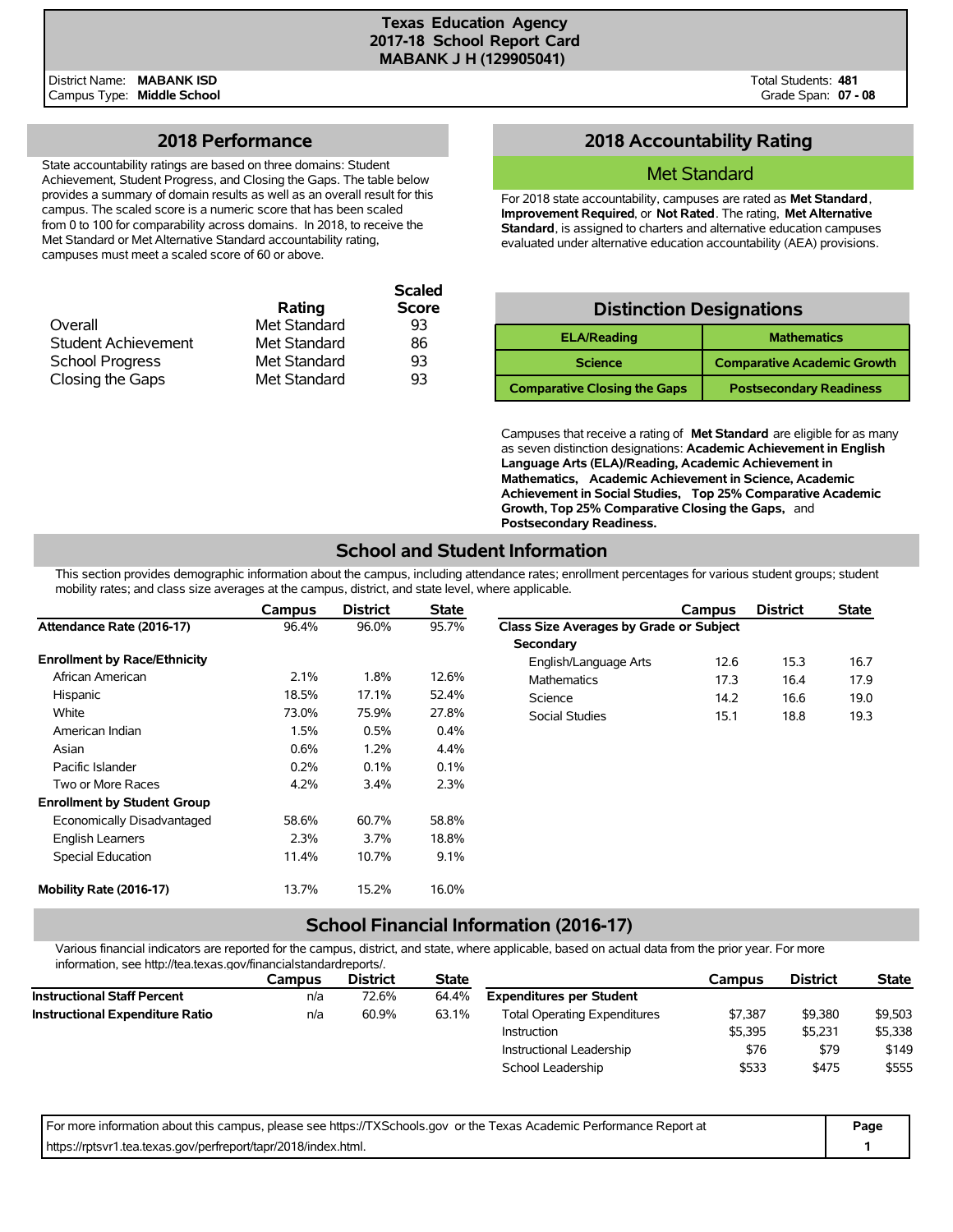**Scaled**

District Name: **MABANK ISD** Campus Type: **Middle School**

# **2018 Performance**

State accountability ratings are based on three domains: Student Achievement, Student Progress, and Closing the Gaps. The table below provides a summary of domain results as well as an overall result for this campus. The scaled score is a numeric score that has been scaled from 0 to 100 for comparability across domains. In 2018, to receive the Met Standard or Met Alternative Standard accountability rating, campuses must meet a scaled score of 60 or above.

|              | <b>Scaled</b> |
|--------------|---------------|
| Rating       | <b>Score</b>  |
| Met Standard | 93            |
| Met Standard | 86            |
| Met Standard | 93            |
| Met Standard | 93            |
|              |               |

# **2018 Accountability Rating**

#### Met Standard

For 2018 state accountability, campuses are rated as **Met Standard**, **Improvement Required**, or **Not Rated**. The rating, **Met Alternative Standard**, is assigned to charters and alternative education campuses evaluated under alternative education accountability (AEA) provisions.

# **Distinction Designations**

| <b>ELA/Reading</b>                  | <b>Mathematics</b>                 |
|-------------------------------------|------------------------------------|
| <b>Science</b>                      | <b>Comparative Academic Growth</b> |
| <b>Comparative Closing the Gaps</b> | <b>Postsecondary Readiness</b>     |

Campuses that receive a rating of **Met Standard** are eligible for as many as seven distinction designations: **Academic Achievement in English Language Arts (ELA)/Reading, Academic Achievement in Mathematics, Academic Achievement in Science, Academic Achievement in Social Studies, Top 25% Comparative Academic Growth, Top 25% Comparative Closing the Gaps,** and **Postsecondary Readiness.**

# **School and Student Information**

This section provides demographic information about the campus, including attendance rates; enrollment percentages for various student groups; student mobility rates; and class size averages at the campus, district, and state level, where applicable.

|                                     | Campus  | <b>District</b> | <b>State</b> |                                         | Campus | <b>District</b> | <b>State</b> |
|-------------------------------------|---------|-----------------|--------------|-----------------------------------------|--------|-----------------|--------------|
| Attendance Rate (2016-17)           | 96.4%   | 96.0%           | 95.7%        | Class Size Averages by Grade or Subject |        |                 |              |
|                                     |         |                 |              | Secondary                               |        |                 |              |
| <b>Enrollment by Race/Ethnicity</b> |         |                 |              | English/Language Arts                   | 12.6   | 15.3            | 16.7         |
| African American                    | 2.1%    | 1.8%            | 12.6%        | <b>Mathematics</b>                      | 17.3   | 16.4            | 17.9         |
| Hispanic                            | 18.5%   | 17.1%           | 52.4%        | Science                                 | 14.2   | 16.6            | 19.0         |
| White                               | 73.0%   | 75.9%           | 27.8%        | <b>Social Studies</b>                   | 15.1   | 18.8            | 19.3         |
| American Indian                     | 1.5%    | 0.5%            | $0.4\%$      |                                         |        |                 |              |
| Asian                               | $0.6\%$ | 1.2%            | 4.4%         |                                         |        |                 |              |
| Pacific Islander                    | 0.2%    | 0.1%            | 0.1%         |                                         |        |                 |              |
| Two or More Races                   | 4.2%    | 3.4%            | 2.3%         |                                         |        |                 |              |
| <b>Enrollment by Student Group</b>  |         |                 |              |                                         |        |                 |              |
| Economically Disadvantaged          | 58.6%   | 60.7%           | 58.8%        |                                         |        |                 |              |
| <b>English Learners</b>             | 2.3%    | 3.7%            | 18.8%        |                                         |        |                 |              |
| Special Education                   | 11.4%   | 10.7%           | 9.1%         |                                         |        |                 |              |
| Mobility Rate (2016-17)             | 13.7%   | 15.2%           | 16.0%        |                                         |        |                 |              |

## **School Financial Information (2016-17)**

Various financial indicators are reported for the campus, district, and state, where applicable, based on actual data from the prior year. For more information, see http://tea.texas.gov/financialstandardreports/.

| Campus | <b>District</b> | <b>State</b> |                                     | Campus  | <b>District</b> | <b>State</b> |
|--------|-----------------|--------------|-------------------------------------|---------|-----------------|--------------|
| n/a    | 72.6%           | 64.4%        | <b>Expenditures per Student</b>     |         |                 |              |
| n/a    | 60.9%           | 63.1%        | <b>Total Operating Expenditures</b> | \$7.387 | \$9,380         | \$9,503      |
|        |                 |              | Instruction                         | \$5.395 | \$5.231         | \$5,338      |
|        |                 |              | Instructional Leadership            | \$76    | \$79            | \$149        |
|        |                 |              | School Leadership                   | \$533   | \$475           | \$555        |
|        |                 |              |                                     |         |                 |              |

| For more information about this campus, please see https://TXSchools.gov or the Texas Academic Performance Report at | Page |
|----------------------------------------------------------------------------------------------------------------------|------|
| https://rptsvr1.tea.texas.gov/perfreport/tapr/2018/index.html.                                                       |      |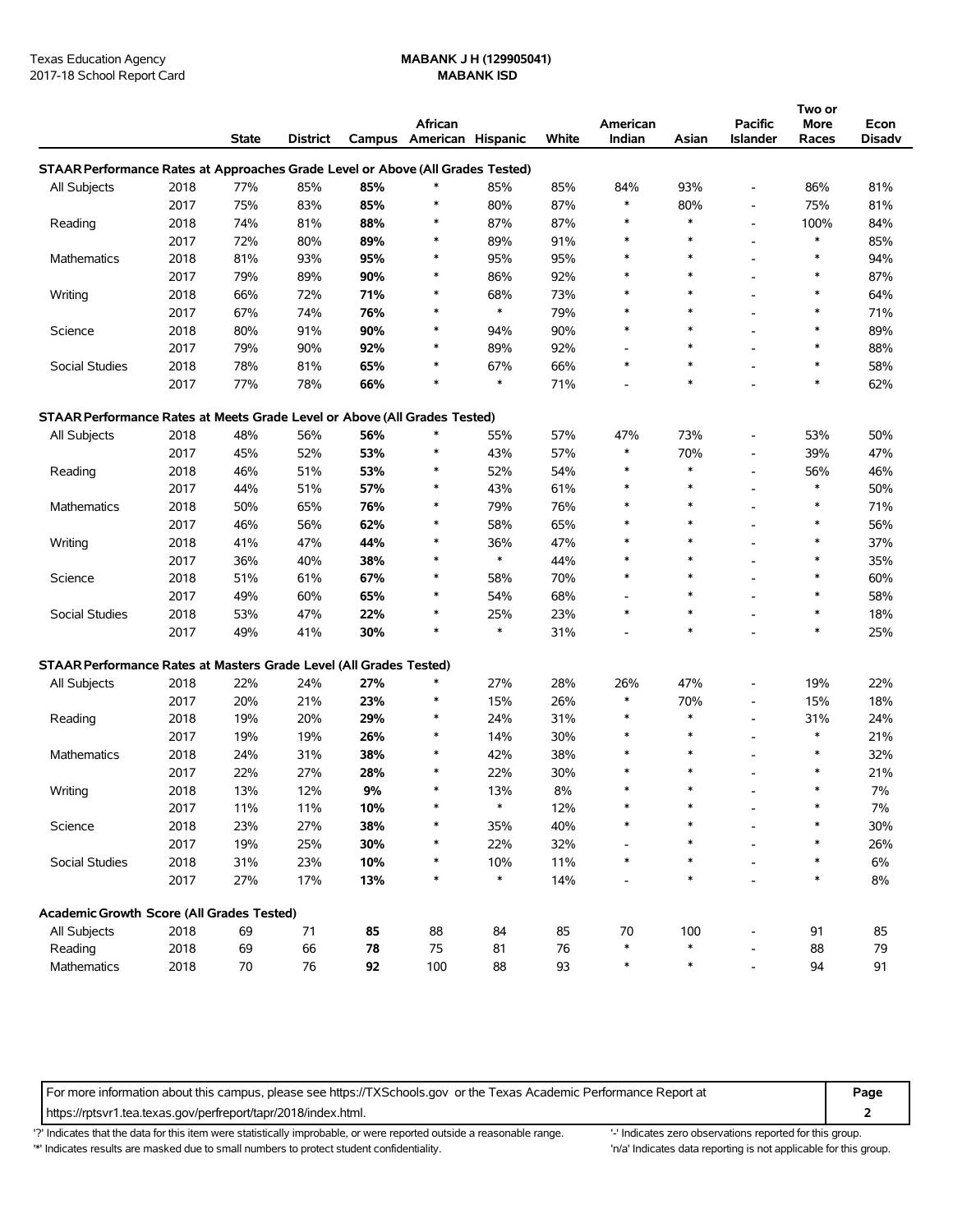# Texas Education Agency **MABANK J H (129905041)**

|                                                                                |      | <b>State</b> | <b>District</b> |     | African<br>Campus American Hispanic |               | White | American<br>Indian       | Asian  | <b>Pacific</b><br><b>Islander</b> | Two or<br>More<br>Races | Econ<br><b>Disadv</b> |
|--------------------------------------------------------------------------------|------|--------------|-----------------|-----|-------------------------------------|---------------|-------|--------------------------|--------|-----------------------------------|-------------------------|-----------------------|
| STAAR Performance Rates at Approaches Grade Level or Above (All Grades Tested) |      |              |                 |     |                                     |               |       |                          |        |                                   |                         |                       |
| All Subjects                                                                   | 2018 | 77%          | 85%             | 85% |                                     | 85%           | 85%   | 84%                      | 93%    | $\overline{a}$                    | 86%                     | 81%                   |
|                                                                                | 2017 | 75%          | 83%             | 85% | $\ast$                              | 80%           | 87%   | *                        | 80%    | $\overline{a}$                    | 75%                     | 81%                   |
| Reading                                                                        | 2018 | 74%          | 81%             | 88% | $\ast$                              | 87%           | 87%   | ∗                        | $\ast$ | $\overline{\phantom{a}}$          | 100%                    | 84%                   |
|                                                                                | 2017 | 72%          | 80%             | 89% | *                                   | 89%           | 91%   | ∗                        | $\ast$ | $\overline{\phantom{a}}$          | $\ast$                  | 85%                   |
| Mathematics                                                                    | 2018 | 81%          | 93%             | 95% | $\ast$                              | 95%           | 95%   | ∗                        | $\ast$ | $\overline{a}$                    | $\ast$                  | 94%                   |
|                                                                                | 2017 | 79%          | 89%             | 90% | $\ast$                              | 86%           | 92%   | ∗                        | $\ast$ | $\overline{a}$                    | $\ast$                  | 87%                   |
| Writing                                                                        | 2018 | 66%          | 72%             | 71% | $\ast$                              | 68%           | 73%   | ∗                        | $\ast$ | $\overline{\phantom{a}}$          | $\ast$                  | 64%                   |
|                                                                                | 2017 | 67%          | 74%             | 76% | $\ast$                              | $\ast$        | 79%   | ∗                        | $\ast$ |                                   | $\ast$                  | 71%                   |
| Science                                                                        | 2018 | 80%          | 91%             | 90% | $\ast$                              | 94%           | 90%   | ∗                        | $\ast$ | $\overline{a}$                    | $\ast$                  | 89%                   |
|                                                                                | 2017 | 79%          | 90%             | 92% | ∗                                   | 89%           | 92%   | $\overline{\phantom{a}}$ | $\ast$ | $\overline{\phantom{a}}$          | $\ast$                  | 88%                   |
| Social Studies                                                                 | 2018 | 78%          | 81%             | 65% | $\ast$                              | 67%           | 66%   | $\ast$                   | $\ast$ | $\overline{a}$                    | $\ast$                  | 58%                   |
|                                                                                | 2017 | 77%          | 78%             | 66% | $\ast$                              | $\ast$        | 71%   |                          | $\ast$ |                                   | $\ast$                  | 62%                   |
|                                                                                |      |              |                 |     |                                     |               |       |                          |        |                                   |                         |                       |
| STAAR Performance Rates at Meets Grade Level or Above (All Grades Tested)      |      |              |                 |     |                                     |               |       |                          |        |                                   |                         |                       |
| All Subjects                                                                   | 2018 | 48%          | 56%             | 56% | $\ast$                              | 55%           | 57%   | 47%                      | 73%    |                                   | 53%                     | 50%                   |
|                                                                                | 2017 | 45%          | 52%             | 53% | *                                   | 43%           | 57%   | ∗                        | 70%    | $\overline{\phantom{a}}$          | 39%                     | 47%                   |
| Reading                                                                        | 2018 | 46%          | 51%             | 53% | $\ast$                              | 52%           | 54%   | ∗                        | $\ast$ | $\overline{\phantom{a}}$          | 56%                     | 46%                   |
|                                                                                | 2017 | 44%          | 51%             | 57% | $\ast$                              | 43%           | 61%   | ∗                        | $\ast$ | $\overline{\phantom{a}}$          | $\ast$                  | 50%                   |
| Mathematics                                                                    | 2018 | 50%          | 65%             | 76% | *                                   | 79%           | 76%   | ∗                        | $\ast$ | $\overline{\phantom{a}}$          | $\ast$                  | 71%                   |
|                                                                                | 2017 | 46%          | 56%             | 62% | *                                   | 58%           | 65%   | $\ast$                   | $\ast$ | $\overline{a}$                    | $\ast$                  | 56%                   |
| Writing                                                                        | 2018 | 41%          | 47%             | 44% | $\ast$                              | 36%           | 47%   | ∗                        | $\ast$ |                                   | $\ast$                  | 37%                   |
|                                                                                | 2017 | 36%          | 40%             | 38% | $\ast$                              | $\ast$        | 44%   | ∗                        | $\ast$ |                                   | $\ast$                  | 35%                   |
| Science                                                                        | 2018 | 51%          | 61%             | 67% | $\ast$                              | 58%           | 70%   | ∗                        | $\ast$ |                                   | $\ast$                  | 60%                   |
|                                                                                | 2017 | 49%          | 60%             | 65% | $\ast$                              | 54%           | 68%   |                          | $\ast$ | $\overline{a}$                    | $\ast$                  | 58%                   |
| Social Studies                                                                 | 2018 | 53%          | 47%             | 22% | $\ast$                              | 25%           | 23%   | ∗                        | $\ast$ | $\overline{\phantom{a}}$          | $\ast$                  | 18%                   |
|                                                                                | 2017 | 49%          | 41%             | 30% | $\ast$                              | $\ast$        | 31%   |                          | $\ast$ |                                   | $\ast$                  | 25%                   |
| STAAR Performance Rates at Masters Grade Level (All Grades Tested)             |      |              |                 |     |                                     |               |       |                          |        |                                   |                         |                       |
| All Subjects                                                                   | 2018 | 22%          | 24%             | 27% | *                                   | 27%           | 28%   | 26%                      | 47%    | $\overline{\phantom{a}}$          | 19%                     | 22%                   |
|                                                                                | 2017 | 20%          | 21%             | 23% | $\ast$                              | 15%           | 26%   | *                        | 70%    | $\overline{\phantom{a}}$          | 15%                     | 18%                   |
| Reading                                                                        | 2018 | 19%          | 20%             | 29% | *                                   | 24%           | 31%   | ∗                        | $\ast$ | $\overline{a}$                    | 31%                     | 24%                   |
|                                                                                | 2017 | 19%          | 19%             | 26% | $\ast$                              | 14%           | 30%   | ∗                        | $\ast$ | $\overline{a}$                    | $\ast$                  | 21%                   |
|                                                                                | 2018 | 24%          | 31%             | 38% | $\ast$                              | 42%           | 38%   | ∗                        | $\ast$ | $\overline{\phantom{a}}$          | $\ast$                  | 32%                   |
| Mathematics                                                                    | 2017 | 22%          | 27%             | 28% | $\ast$                              | 22%           | 30%   | ∗                        | $\ast$ | $\overline{a}$                    | $\ast$                  | 21%                   |
|                                                                                |      |              |                 |     | $\ast$                              |               | 8%    | $\ast$                   | $\ast$ |                                   | $\ast$                  | 7%                    |
| Writing                                                                        | 2018 | 13%          | 12%             | 9%  |                                     | 13%<br>$\ast$ |       | ∗                        |        |                                   | $\ast$                  |                       |
|                                                                                | 2017 | 11%          | 11%             | 10% |                                     |               | 12%   |                          |        |                                   | $\ast$                  | 7%                    |
| Science                                                                        | 2018 | 23%          | 27%             | 38% |                                     | 35%           | 40%   |                          |        |                                   | $\ast$                  | 30%                   |
|                                                                                | 2017 | 19%          | 25%             | 30% | ∗                                   | 22%           | 32%   |                          |        |                                   |                         | 26%                   |
| Social Studies                                                                 | 2018 | 31%          | 23%             | 10% | ∗                                   | 10%           | 11%   | ∗                        |        |                                   | $\ast$                  | 6%                    |
|                                                                                | 2017 | 27%          | 17%             | 13% | $\ast$                              | $\ast$        | 14%   |                          | $\ast$ |                                   | $\ast$                  | 8%                    |
| Academic Growth Score (All Grades Tested)                                      |      |              |                 |     |                                     |               |       |                          |        |                                   |                         |                       |
| All Subjects                                                                   | 2018 | 69           | $71$            | 85  | 88                                  | 84            | 85    | 70                       | 100    | $\overline{\phantom{a}}$          | 91                      | 85                    |
| Reading                                                                        | 2018 | 69           | 66              | 78  | 75                                  | 81            | 76    | $\ast$                   |        |                                   | 88                      | 79                    |
| Mathematics                                                                    | 2018 | $70\,$       | 76              | 92  | 100                                 | 88            | 93    | $\ast$                   | $\ast$ |                                   | 94                      | 91                    |

For more information about this campus, please see https://TXSchools.gov or the Texas Academic Performance Report at **Page**

https://rptsvr1.tea.texas.gov/perfreport/tapr/2018/index.html. **2**

'?' Indicates that the data for this item were statistically improbable, or were reported outside a reasonable range. '' Indicates zero observations reported for this group.

'\*' Indicates results are masked due to small numbers to protect student confidentiality. 'n/a' Indicates data reporting is not applicable for this group.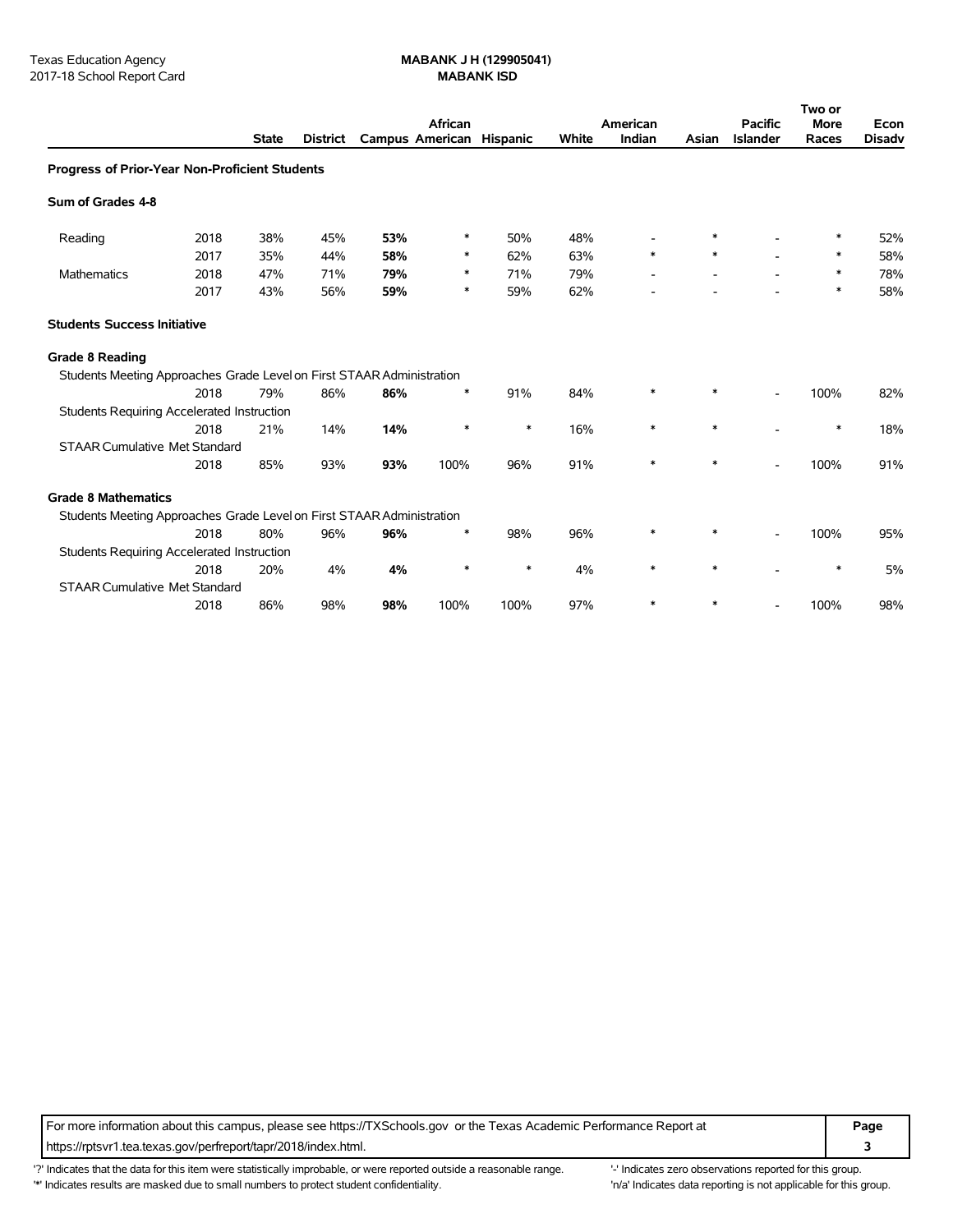|                                                                       |      |              |                 |                          | African |        |       | American |        | <b>Pacific</b>           | Two or<br><b>More</b> | Econ          |
|-----------------------------------------------------------------------|------|--------------|-----------------|--------------------------|---------|--------|-------|----------|--------|--------------------------|-----------------------|---------------|
|                                                                       |      | <b>State</b> | <b>District</b> | Campus American Hispanic |         |        | White | Indian   | Asian  | <b>Islander</b>          | Races                 | <b>Disadv</b> |
| Progress of Prior-Year Non-Proficient Students                        |      |              |                 |                          |         |        |       |          |        |                          |                       |               |
| Sum of Grades 4-8                                                     |      |              |                 |                          |         |        |       |          |        |                          |                       |               |
| Reading                                                               | 2018 | 38%          | 45%             | 53%                      | ∗       | 50%    | 48%   |          | ∗      |                          | $\ast$                | 52%           |
|                                                                       | 2017 | 35%          | 44%             | 58%                      | ∗       | 62%    | 63%   | $\ast$   | $\ast$ |                          | ∗                     | 58%           |
| Mathematics                                                           | 2018 | 47%          | 71%             | 79%                      | ∗       | 71%    | 79%   |          |        |                          | $\ast$                | 78%           |
|                                                                       | 2017 | 43%          | 56%             | 59%                      | ∗       | 59%    | 62%   |          |        |                          | *                     | 58%           |
| <b>Students Success Initiative</b>                                    |      |              |                 |                          |         |        |       |          |        |                          |                       |               |
| <b>Grade 8 Reading</b>                                                |      |              |                 |                          |         |        |       |          |        |                          |                       |               |
| Students Meeting Approaches Grade Level on First STAAR Administration |      |              |                 |                          |         |        |       |          |        |                          |                       |               |
|                                                                       | 2018 | 79%          | 86%             | 86%                      | ∗       | 91%    | 84%   | $\ast$   | ∗      |                          | 100%                  | 82%           |
| <b>Students Requiring Accelerated Instruction</b>                     |      |              |                 |                          |         |        |       |          |        |                          |                       |               |
|                                                                       | 2018 | 21%          | 14%             | 14%                      | $\ast$  | $\ast$ | 16%   | $\ast$   | $\ast$ |                          | $\ast$                | 18%           |
| <b>STAAR Cumulative Met Standard</b>                                  |      |              |                 |                          |         |        |       |          |        |                          |                       |               |
|                                                                       | 2018 | 85%          | 93%             | 93%                      | 100%    | 96%    | 91%   | $\ast$   | $\ast$ |                          | 100%                  | 91%           |
| <b>Grade 8 Mathematics</b>                                            |      |              |                 |                          |         |        |       |          |        |                          |                       |               |
| Students Meeting Approaches Grade Level on First STAAR Administration |      |              |                 |                          |         |        |       |          |        |                          |                       |               |
|                                                                       | 2018 | 80%          | 96%             | 96%                      | ∗       | 98%    | 96%   | *        | $\ast$ | $\overline{\phantom{0}}$ | 100%                  | 95%           |
| <b>Students Requiring Accelerated Instruction</b>                     |      |              |                 |                          |         |        |       |          |        |                          |                       |               |
|                                                                       | 2018 | 20%          | 4%              | 4%                       | $\ast$  | ∗      | 4%    | $\ast$   |        |                          |                       | 5%            |
| <b>STAAR Cumulative Met Standard</b>                                  |      |              |                 |                          |         |        |       |          |        |                          |                       |               |
|                                                                       | 2018 | 86%          | 98%             | 98%                      | 100%    | 100%   | 97%   |          |        |                          | 100%                  | 98%           |

For more information about this campus, please see https://TXSchools.gov or the Texas Academic Performance Report at **Page** https://rptsvr1.tea.texas.gov/perfreport/tapr/2018/index.html. **3**

'?' Indicates that the data for this item were statistically improbable, or were reported outside a reasonable range. "Indicates zero observations reported for this group. '\*' Indicates results are masked due to small numbers to protect student confidentiality. 'n/a' Indicates data reporting is not applicable for this group.